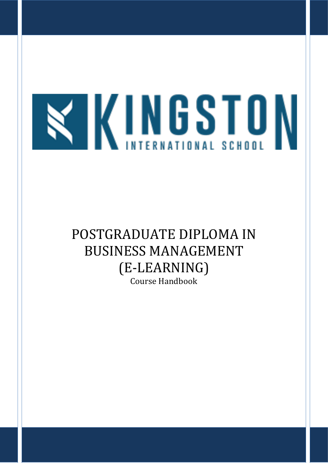

# POSTGRADUATE DIPLOMA IN BUSINESS MANAGEMENT (E-LEARNING) Course Handbook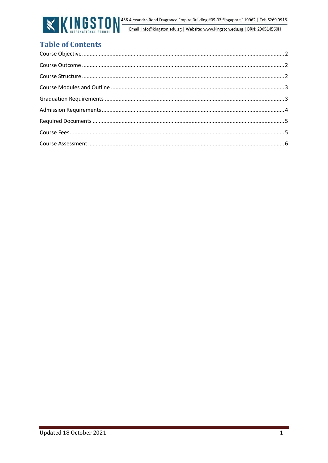

# **Table of Contents**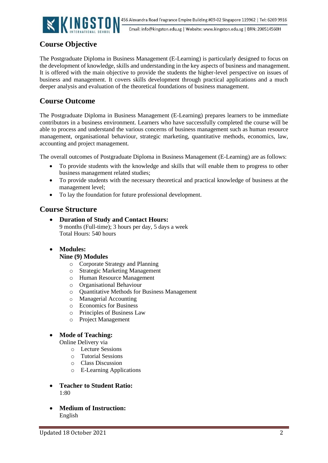

Email: info@kingston.edu.sg | Website: www.kingston.edu.sg | BRN: 200514560H

# <span id="page-2-0"></span>**Course Objective**

<span id="page-2-1"></span>The Postgraduate Diploma in Business Management (E-Learning) is particularly designed to focus on the development of knowledge, skills and understanding in the key aspects of business and management. It is offered with the main objective to provide the students the higher-level perspective on issues of business and management. It covers skills development through practical applications and a much deeper analysis and evaluation of the theoretical foundations of business management.

# **Course Outcome**

<span id="page-2-2"></span>The Postgraduate Diploma in Business Management (E-Learning) prepares learners to be immediate contributors in a business environment. Learners who have successfully completed the course will be able to process and understand the various concerns of business management such as human resource management, organisational behaviour, strategic marketing, quantitative methods, economics, law, accounting and project management.

The overall outcomes of Postgraduate Diploma in Business Management (E-Learning) are as follows:

- To provide students with the knowledge and skills that will enable them to progress to other business management related studies;
- To provide students with the necessary theoretical and practical knowledge of business at the management level;
- To lay the foundation for future professional development.

## **Course Structure**

- **Duration of Study and Contact Hours:**  9 months (Full-time); 3 hours per day, 5 days a week Total Hours: 540 hours
- **Modules:**

#### **Nine (9) Modules**

- o Corporate Strategy and Planning
- o Strategic Marketing Management
- o Human Resource Management
- o Organisational Behaviour
- o Quantitative Methods for Business Management
- o Managerial Accounting
- o Economics for Business
- o Principles of Business Law
- o Project Management

#### • **Mode of Teaching:**

Online Delivery via

- o Lecture Sessions
- o Tutorial Sessions
- o Class Discussion
- o E-Learning Applications
- **Teacher to Student Ratio:**  1:80
- **Medium of Instruction:** English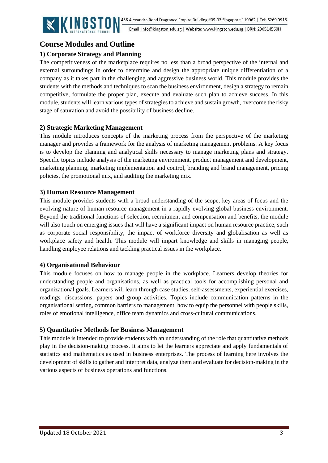

# <span id="page-3-0"></span>**Course Modules and Outline**

## <span id="page-3-1"></span>**1) Corporate Strategy and Planning**

The competitiveness of the marketplace requires no less than a broad perspective of the internal and external surroundings in order to determine and design the appropriate unique differentiation of a company as it takes part in the challenging and aggressive business world. This module provides the students with the methods and techniques to scan the business environment, design a strategy to remain competitive, formulate the proper plan, execute and evaluate such plan to achieve success. In this module, students will learn various types of strategies to achieve and sustain growth, overcome the risky stage of saturation and avoid the possibility of business decline.

### **2) Strategic Marketing Management**

This module introduces concepts of the marketing process from the perspective of the marketing manager and provides a framework for the analysis of marketing management problems. A key focus is to develop the planning and analytical skills necessary to manage marketing plans and strategy. Specific topics include analysis of the marketing environment, product management and development, marketing planning, marketing implementation and control, branding and brand management, pricing policies, the promotional mix, and auditing the marketing mix.

#### **3) Human Resource Management**

This module provides students with a broad understanding of the scope, key areas of focus and the evolving nature of human resource management in a rapidly evolving global business environment. Beyond the traditional functions of selection, recruitment and compensation and benefits, the module will also touch on emerging issues that will have a significant impact on human resource practice, such as corporate social responsibility, the impact of workforce diversity and globalisation as well as workplace safety and health. This module will impart knowledge and skills in managing people, handling employee relations and tackling practical issues in the workplace.

#### **4) Organisational Behaviour**

This module focuses on how to manage people in the workplace. Learners develop theories for understanding people and organisations, as well as practical tools for accomplishing personal and organizational goals. Learners will learn through case studies, self-assessments, experiential exercises, readings, discussions, papers and group activities. Topics include communication patterns in the organisational setting, common barriers to management, how to equip the personnel with people skills, roles of emotional intelligence, office team dynamics and cross-cultural communications.

### **5) Quantitative Methods for Business Management**

This module is intended to provide students with an understanding of the role that quantitative methods play in the decision-making process. It aims to let the learners appreciate and apply fundamentals of statistics and mathematics as used in business enterprises. The process of learning here involves the development of skills to gather and interpret data, analyze them and evaluate for decision-making in the various aspects of business operations and functions.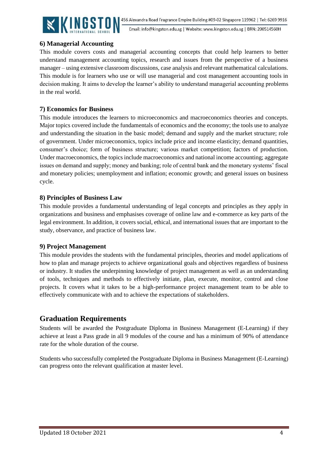

Email: info@kingston.edu.sg | Website: www.kingston.edu.sg | BRN: 200514560H

#### **6) Managerial Accounting**

This module covers costs and managerial accounting concepts that could help learners to better understand management accounting topics, research and issues from the perspective of a business manager – using extensive classroom discussions, case analysis and relevant mathematical calculations. This module is for learners who use or will use managerial and cost management accounting tools in decision making. It aims to develop the learner's ability to understand managerial accounting problems in the real world.

### **7) Economics for Business**

This module introduces the learners to microeconomics and macroeconomics theories and concepts. Major topics covered include the fundamentals of economics and the economy; the tools use to analyze and understanding the situation in the basic model; demand and supply and the market structure; role of government. Under microeconomics, topics include price and income elasticity; demand quantities, consumer's choice; form of business structure; various market competition; factors of production. Under macroeconomics, the topics include macroeconomics and national income accounting; aggregate issues on demand and supply; money and banking; role of central bank and the monetary systems' fiscal and monetary policies; unemployment and inflation; economic growth; and general issues on business cycle.

#### **8) Principles of Business Law**

This module provides a fundamental understanding of legal concepts and principles as they apply in organizations and business and emphasises coverage of online law and e-commerce as key parts of the legal environment. In addition, it covers social, ethical, and international issues that are important to the study, observance, and practice of business law.

#### **9) Project Management**

This module provides the students with the fundamental principles, theories and model applications of how to plan and manage projects to achieve organizational goals and objectives regardless of business or industry. It studies the underpinning knowledge of project management as well as an understanding of tools, techniques and methods to effectively initiate, plan, execute, monitor, control and close projects. It covers what it takes to be a high-performance project management team to be able to effectively communicate with and to achieve the expectations of stakeholders.

## **Graduation Requirements**

Students will be awarded the Postgraduate Diploma in Business Management (E-Learning) if they achieve at least a Pass grade in all 9 modules of the course and has a minimum of 90% of attendance rate for the whole duration of the course.

<span id="page-4-0"></span>Students who successfully completed the Postgraduate Diploma in Business Management (E-Learning) can progress onto the relevant qualification at master level.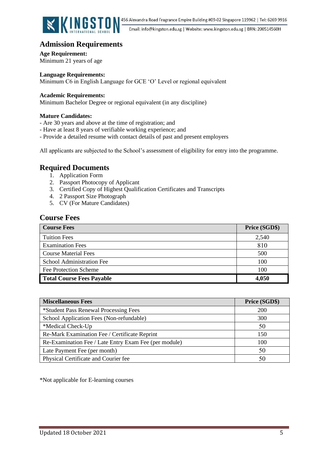

Email: info@kingston.edu.sg | Website: www.kingston.edu.sg | BRN: 200514560H

# **Admission Requirements**

**Age Requirement:** Minimum 21 years of age

**Language Requirements:**

Minimum C6 in English Language for GCE 'O' Level or regional equivalent

#### **Academic Requirements:**

Minimum Bachelor Degree or regional equivalent (in any discipline)

#### **Mature Candidates:**

- Are 30 years and above at the time of registration; and
- Have at least 8 years of verifiable working experience; and
- Provide a detailed resume with contact details of past and present employers

<span id="page-5-0"></span>All applicants are subjected to the School's assessment of eligibility for entry into the programme.

## **Required Documents**

- 1. Application Form
- 2. Passport Photocopy of Applicant
- 3. Certified Copy of Highest Qualification Certificates and Transcripts
- 4. 2 Passport Size Photograph
- 5. CV (For Mature Candidates)

#### <span id="page-5-1"></span>**Course Fees**

| <b>Course Fees</b>               | Price (SGD\$) |
|----------------------------------|---------------|
| <b>Tuition Fees</b>              | 2,540         |
| <b>Examination Fees</b>          | 810           |
| <b>Course Material Fees</b>      | 500           |
| School Administration Fee        | 100           |
| Fee Protection Scheme            | 100           |
| <b>Total Course Fees Payable</b> | 4,050         |

| <b>Miscellaneous Fees</b>                             | Price (SGD\$) |
|-------------------------------------------------------|---------------|
| *Student Pass Renewal Processing Fees                 | <b>200</b>    |
| School Application Fees (Non-refundable)              | 300           |
| *Medical Check-Up                                     | 50            |
| Re-Mark Examination Fee / Certificate Reprint         | 150           |
| Re-Examination Fee / Late Entry Exam Fee (per module) | 100           |
| Late Payment Fee (per month)                          | 50            |
| Physical Certificate and Courier fee                  | 50            |

\*Not applicable for E-learning courses